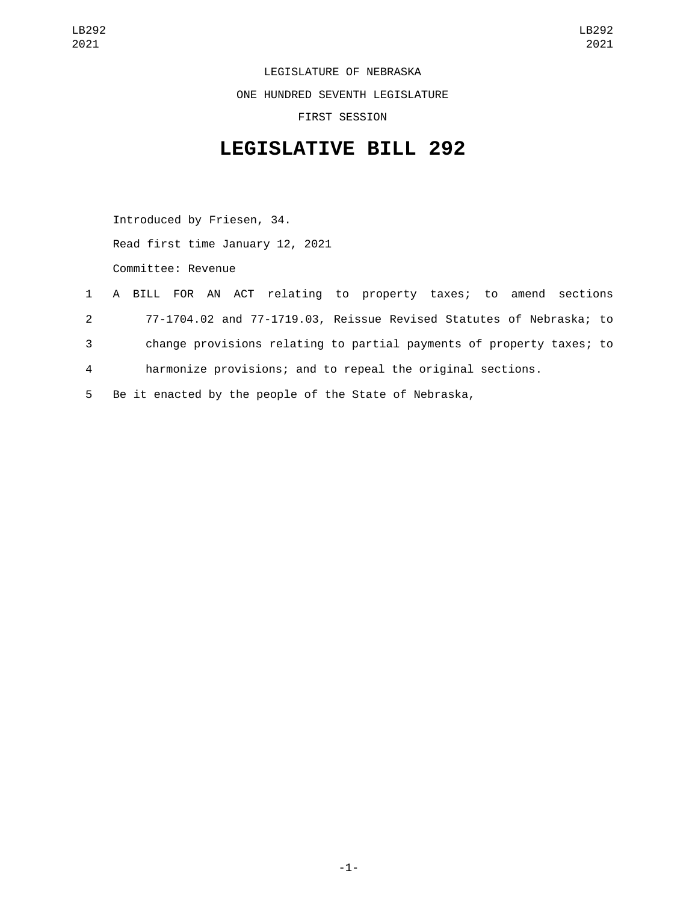LEGISLATURE OF NEBRASKA ONE HUNDRED SEVENTH LEGISLATURE FIRST SESSION

## **LEGISLATIVE BILL 292**

Introduced by Friesen, 34. Read first time January 12, 2021 Committee: Revenue

- 1 A BILL FOR AN ACT relating to property taxes; to amend sections 2 77-1704.02 and 77-1719.03, Reissue Revised Statutes of Nebraska; to 3 change provisions relating to partial payments of property taxes; to 4 harmonize provisions; and to repeal the original sections.
- 5 Be it enacted by the people of the State of Nebraska,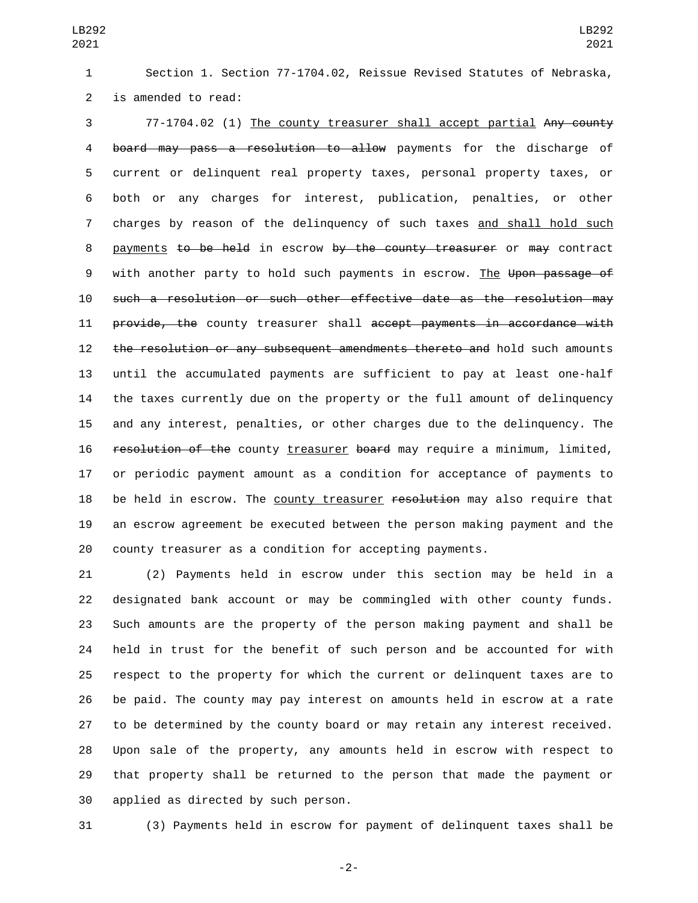Section 1. Section 77-1704.02, Reissue Revised Statutes of Nebraska, 2 is amended to read:

 77-1704.02 (1) The county treasurer shall accept partial Any county 4 board may pass a resolution to allow payments for the discharge of current or delinquent real property taxes, personal property taxes, or both or any charges for interest, publication, penalties, or other charges by reason of the delinquency of such taxes and shall hold such 8 payments to be held in escrow by the county treasurer or may contract 9 with another party to hold such payments in escrow. The Upon passage of such a resolution or such other effective date as the resolution may 11 provide, the county treasurer shall accept payments in accordance with 12 the resolution or any subsequent amendments thereto and hold such amounts until the accumulated payments are sufficient to pay at least one-half the taxes currently due on the property or the full amount of delinquency and any interest, penalties, or other charges due to the delinquency. The 16 resolution of the county treasurer board may require a minimum, limited, or periodic payment amount as a condition for acceptance of payments to 18 be held in escrow. The county treasurer resolution may also require that an escrow agreement be executed between the person making payment and the county treasurer as a condition for accepting payments.

 (2) Payments held in escrow under this section may be held in a designated bank account or may be commingled with other county funds. Such amounts are the property of the person making payment and shall be held in trust for the benefit of such person and be accounted for with respect to the property for which the current or delinquent taxes are to be paid. The county may pay interest on amounts held in escrow at a rate to be determined by the county board or may retain any interest received. Upon sale of the property, any amounts held in escrow with respect to that property shall be returned to the person that made the payment or 30 applied as directed by such person.

(3) Payments held in escrow for payment of delinquent taxes shall be

-2-